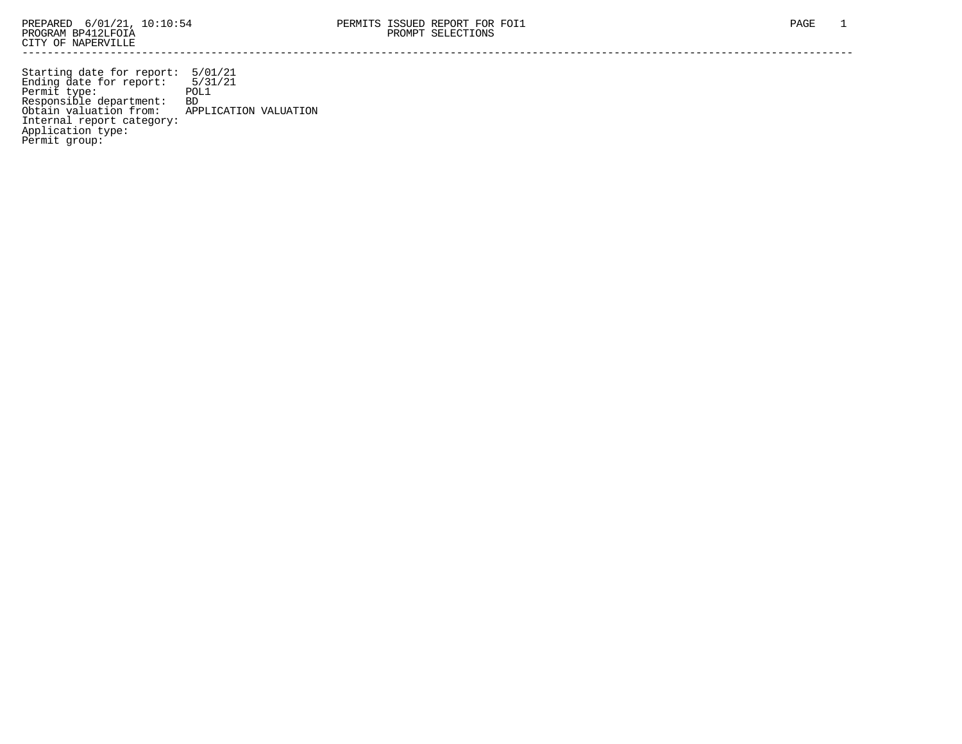Starting date for report: 5/01/21 Ending date for report: 5/31/21 Permit type: POL1 Responsible department: BD Obtain valuation from: APPLICATION VALUATION Internal report category: Application type: Permit group: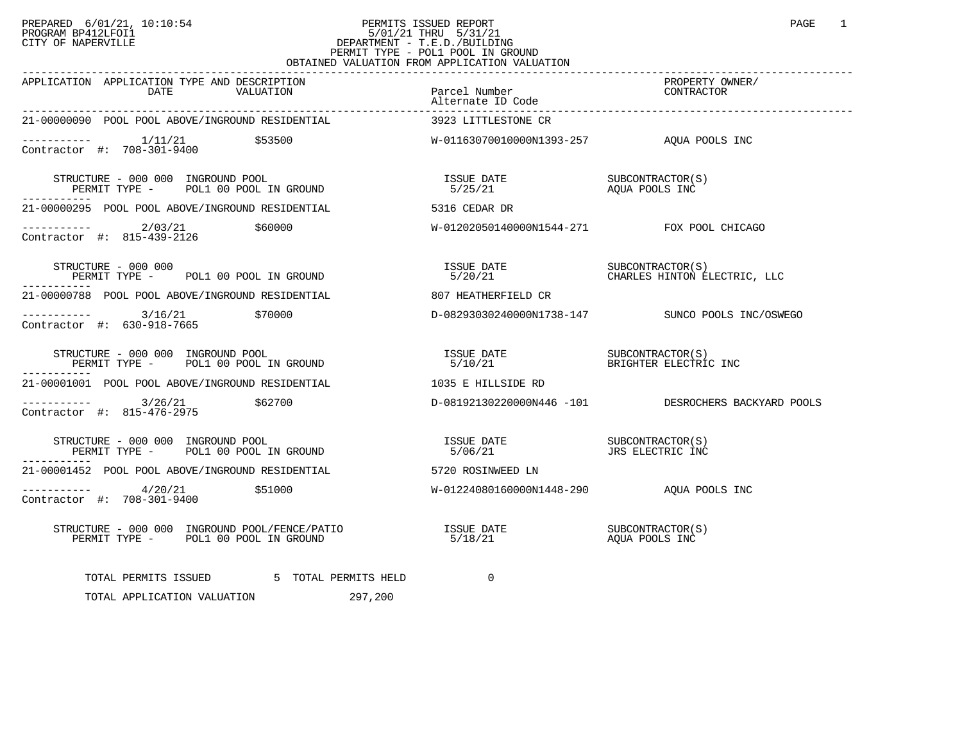## PREPARED 6/01/21, 10:10:54 PERMITS ISSUED REPORT PAGE 1<br>PROGRAM BP412LFOI1 PROGRAM PROGRAM BP412LFOI1 PROGRAM BP412LFOI1 5/01/21 THRU 5/31/21 CITY OF NAPERVILLE **Example 20** CITY OF NAPERVILLE PERMIT TYPE - POL1 POOL IN GROUND OBTAINED VALUATION FROM APPLICATION VALUATION

| APPLICATION APPLICATION TYPE AND DESCRIPTION<br>DATE<br>VALUATION                                                                                                                                                                                                                                                                                                                                                                                                           | Parcel Number<br>Alternate ID Code<br>---------- | PROPERTY OWNER/<br>CONTRACTOR                       |
|-----------------------------------------------------------------------------------------------------------------------------------------------------------------------------------------------------------------------------------------------------------------------------------------------------------------------------------------------------------------------------------------------------------------------------------------------------------------------------|--------------------------------------------------|-----------------------------------------------------|
| 21-00000090 POOL POOL ABOVE/INGROUND RESIDENTIAL                                                                                                                                                                                                                                                                                                                                                                                                                            | 3923 LITTLESTONE CR                              |                                                     |
|                                                                                                                                                                                                                                                                                                                                                                                                                                                                             | W-01163070010000N1393-257 AQUA POOLS INC         |                                                     |
| STRUCTURE - 000 000 INGROUND POOL<br>PERMIT TYPE - POL1 00 POOL IN GROUND                                                                                                                                                                                                                                                                                                                                                                                                   |                                                  |                                                     |
| 21-00000295 POOL POOL ABOVE/INGROUND RESIDENTIAL                                                                                                                                                                                                                                                                                                                                                                                                                            | 5316 CEDAR DR                                    |                                                     |
| $\begin{array}{cccc}\n-2 & -2 & -2 & -2 \\ \text{Contractor} & +2 & 815-439-2126 & & 560000\n\end{array}$                                                                                                                                                                                                                                                                                                                                                                   | W-01202050140000N1544-271 FOX POOL CHICAGO       |                                                     |
| STRUCTURE - 000 000<br>STRUCTURE - 000 000<br>PERMIT TYPE -       POL1 00 POOL IN GROUND<br>-----------                                                                                                                                                                                                                                                                                                                                                                     |                                                  |                                                     |
| 21-00000788 POOL POOL ABOVE/INGROUND RESIDENTIAL                                                                                                                                                                                                                                                                                                                                                                                                                            | 807 HEATHERFIELD CR                              |                                                     |
| ----------- 3/16/21 \$70000<br>Contractor #: 630-918-7665                                                                                                                                                                                                                                                                                                                                                                                                                   |                                                  | D-08293030240000N1738-147 SUNCO POOLS INC/OSWEGO    |
| STRUCTURE - 000 000 INGROUND POOL<br>PERMIT TYPE - POL1 00 POOL IN GROUND                                                                                                                                                                                                                                                                                                                                                                                                   |                                                  |                                                     |
| 21-00001001 POOL POOL ABOVE/INGROUND RESIDENTIAL                                                                                                                                                                                                                                                                                                                                                                                                                            | 1035 E HILLSIDE RD                               |                                                     |
| ----------- 3/26/21 \$62700<br>Contractor #: 815-476-2975                                                                                                                                                                                                                                                                                                                                                                                                                   |                                                  | D-08192130220000N446 -101 DESROCHERS BACKYARD POOLS |
| $\begin{minipage}{0.9\linewidth} \texttt{STRUCTURE} = 000 000 \texttt{INGROUND POOL} \end{minipage}$<br>PERMIT TYPE - POL1 00 POOL IN GROUND                                                                                                                                                                                                                                                                                                                                |                                                  | JRS ELECTRIC INC                                    |
| 21-00001452 POOL POOL ABOVE/INGROUND RESIDENTIAL                                                                                                                                                                                                                                                                                                                                                                                                                            | 5720 ROSINWEED LN                                |                                                     |
| $\frac{1}{2}$ $\frac{1}{2}$ $\frac{1}{20}$ $\frac{4}{20/21}$ $\frac{551000}{201}$<br>Contractor #: 708-301-9400                                                                                                                                                                                                                                                                                                                                                             | W-01224080160000N1448-290 AOUA POOLS INC         |                                                     |
| $\begin{array}{cccccc} \texttt{STRUCTURE} & - & 000 & 000 & \texttt{INGROWND} & \texttt{POOL/FENCE/PATHO} & & & & & \\ \texttt{PERMIT TYPE} & - & \texttt{POLI} & 00 & \texttt{POOL IN GROWID} & & & & & \\ \end{array} \qquad \begin{array}{cccccc} \texttt{ISSUE} & \texttt{DATE} & & & & & \\ \texttt{S/J8/21} & & & & & & \\ \texttt{S/J8/21} & & & & & & \end{array} \qquad \begin{array}{cccccc} \texttt{SUE} & \texttt{DATE} & & & & \\ \texttt{SUE} & \texttt{DATE$ |                                                  |                                                     |
| TOTAL PERMITS ISSUED 5 TOTAL PERMITS HELD<br>TOTAL APPLICATION VALUATION<br>297,200                                                                                                                                                                                                                                                                                                                                                                                         | $\Omega$                                         |                                                     |